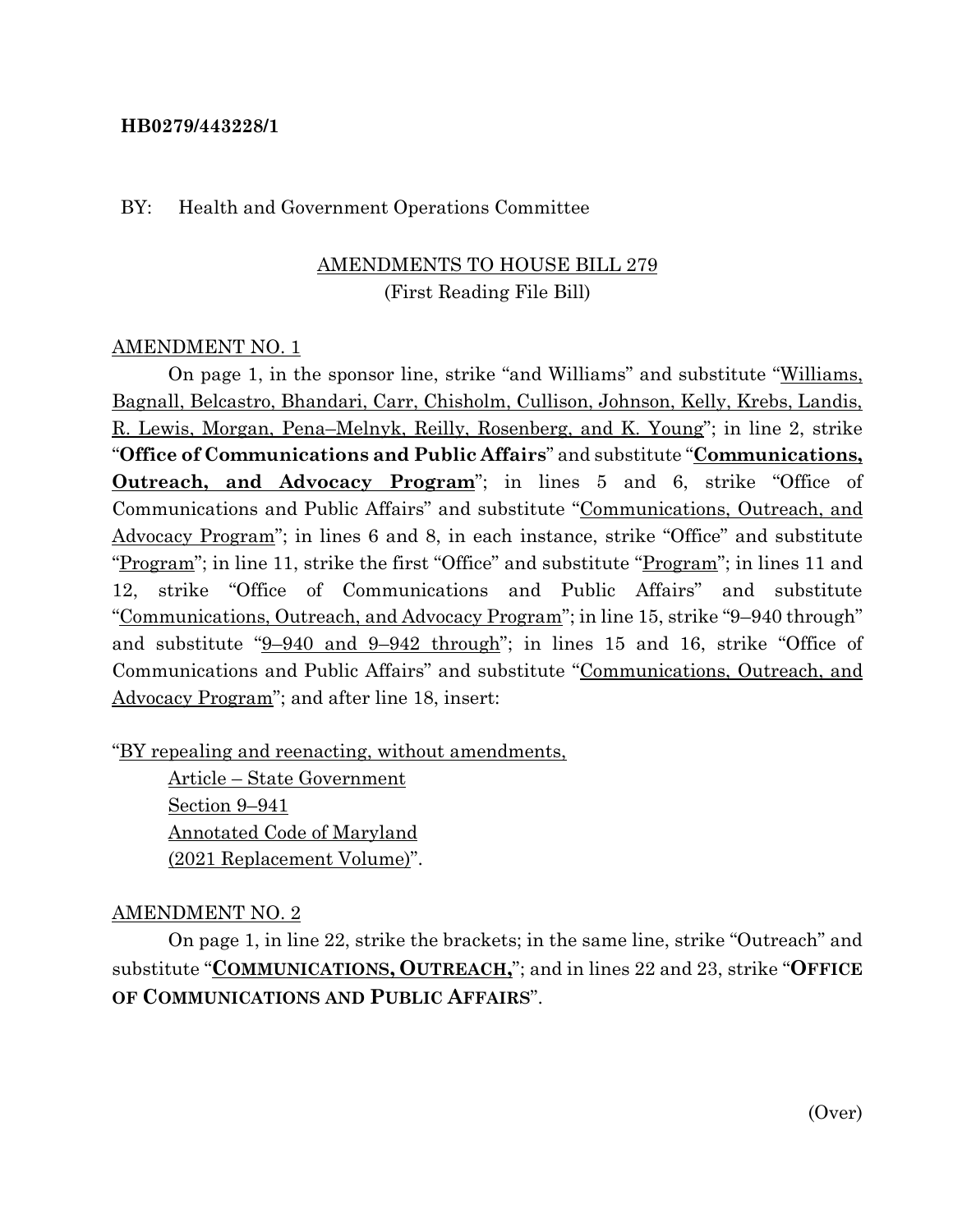## **HB0279/443228/1**

#### BY: Health and Government Operations Committee

# AMENDMENTS TO HOUSE BILL 279 (First Reading File Bill)

## AMENDMENT NO. 1

On page 1, in the sponsor line, strike "and Williams" and substitute "Williams, Bagnall, Belcastro, Bhandari, Carr, Chisholm, Cullison, Johnson, Kelly, Krebs, Landis, R. Lewis, Morgan, Pena–Melnyk, Reilly, Rosenberg, and K. Young"; in line 2, strike "**Office of Communications and Public Affairs**" and substitute "**Communications, Outreach, and Advocacy Program**"; in lines 5 and 6, strike "Office of Communications and Public Affairs" and substitute "Communications, Outreach, and Advocacy Program"; in lines 6 and 8, in each instance, strike "Office" and substitute "Program"; in line 11, strike the first "Office" and substitute "Program"; in lines 11 and 12, strike "Office of Communications and Public Affairs" and substitute "Communications, Outreach, and Advocacy Program"; in line 15, strike "9–940 through" and substitute "9-940 and 9-942 through"; in lines 15 and 16, strike "Office of Communications and Public Affairs" and substitute "Communications, Outreach, and Advocacy Program"; and after line 18, insert:

"BY repealing and reenacting, without amendments,

Article – State Government Section 9–941 Annotated Code of Maryland (2021 Replacement Volume)".

#### AMENDMENT NO. 2

On page 1, in line 22, strike the brackets; in the same line, strike "Outreach" and substitute "**COMMUNICATIONS, OUTREACH,**"; and in lines 22 and 23, strike "**OFFICE OF COMMUNICATIONS AND PUBLIC AFFAIRS**".